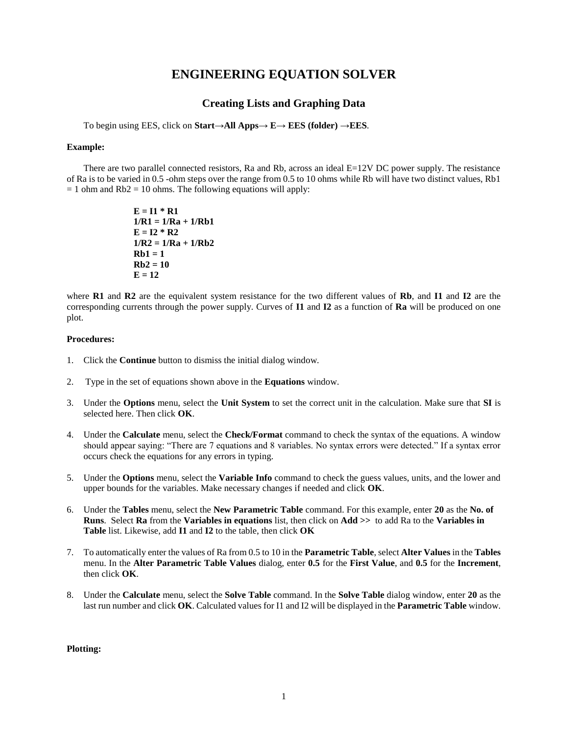# **ENGINEERING EQUATION SOLVER**

## **Creating Lists and Graphing Data**

To begin using EES, click on **Start**→**All Apps**→ **E**→ **EES (folder)** →**EES**.

#### **Example:**

There are two parallel connected resistors, Ra and Rb, across an ideal  $E=12V$  DC power supply. The resistance of Ra is to be varied in 0.5 -ohm steps over the range from 0.5 to 10 ohms while Rb will have two distinct values, Rb1  $= 1$  ohm and Rb2  $= 10$  ohms. The following equations will apply:

> **E = I1 \* R1 1/R1 = 1/Ra + 1/Rb1**  $E = I2 * R2$ **1/R2 = 1/Ra + 1/Rb2**  $Rb1 = 1$ **Rb2 = 10**  $E = 12$

where **R1** and **R2** are the equivalent system resistance for the two different values of **Rb**, and **I1** and **I2** are the corresponding currents through the power supply. Curves of **I1** and **I2** as a function of **Ra** will be produced on one plot.

### **Procedures:**

- 1. Click the **Continue** button to dismiss the initial dialog window.
- 2. Type in the set of equations shown above in the **Equations** window.
- 3. Under the **Options** menu, select the **Unit System** to set the correct unit in the calculation. Make sure that **SI** is selected here. Then click **OK**.
- 4. Under the **Calculate** menu, select the **Check/Format** command to check the syntax of the equations. A window should appear saying: "There are 7 equations and 8 variables. No syntax errors were detected." If a syntax error occurs check the equations for any errors in typing.
- 5. Under the **Options** menu, select the **Variable Info** command to check the guess values, units, and the lower and upper bounds for the variables. Make necessary changes if needed and click **OK**.
- 6. Under the **Tables** menu, select the **New Parametric Table** command. For this example, enter **20** as the **No. of Runs**. Select **Ra** from the **Variables in equations** list, then click on **Add >>** to add Ra to the **Variables in Table** list. Likewise, add **I1** and **I2** to the table, then click **OK**
- 7. To automatically enter the values of Ra from 0.5 to 10 in the **Parametric Table**, select **Alter Values** in the **Tables** menu. In the **Alter Parametric Table Values** dialog, enter **0.5** for the **First Value**, and **0.5** for the **Increment**, then click **OK**.
- 8. Under the **Calculate** menu, select the **Solve Table** command. In the **Solve Table** dialog window, enter **20** as the last run number and click **OK**. Calculated values for I1 and I2 will be displayed in the **Parametric Table** window.

**Plotting:**